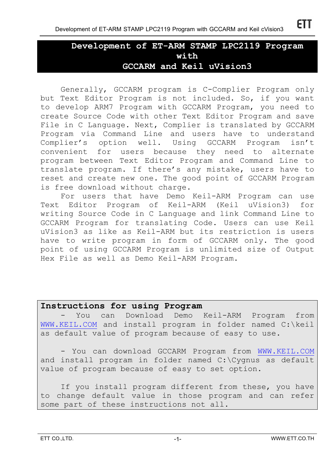# **Development of ET-ARM STAMP LPC2119 Program with GCCARM and Keil uVision3**

Generally, GCCARM program is C-Complier Program only but Text Editor Program is not included. So, if you want to develop ARM7 Program with GCCARM Program, you need to create Source Code with other Text Editor Program and save File in C Language. Next, Complier is translated by GCCARM Program via Command Line and users have to understand Complier's option well. Using GCCARM Program isn't convenient for users because they need to alternate program between Text Editor Program and Command Line to translate program. If there's any mistake, users have to reset and create new one. The good point of GCCARM Program is free download without charge.

For users that have Demo Keil-ARM Program can use Text Editor Program of Keil-ARM (Keil uVision3) for writing Source Code in C Language and link Command Line to GCCARM Program for translating Code. Users can use Keil uVision3 as like as Keil-ARM but its restriction is users have to write program in form of GCCARM only. The good point of using GCCARM Program is unlimited size of Output Hex File as well as Demo Keil-ARM Program.

### **Instructions for using Program**

You can Download Demo Keil-ARM Program from WWW.KEIL.COM and install program in folder named C:\keil as default value of program because of easy to use.

- You can download GCCARM Program from WWW.KEIL.COM and install program in folder named C:\Cygnus as default value of program because of easy to set option.

If you install program different from these, you have to change default value in those program and can refer some part of these instructions not all.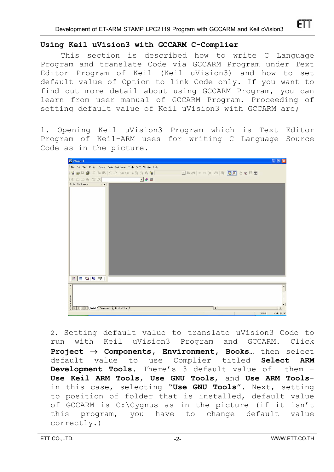#### **Using Keil uVision3 with GCCARM C-Complier**

This section is described how to write C Language Program and translate Code via GCCARM Program under Text Editor Program of Keil (Keil uVision3) and how to set default value of Option to link Code only. If you want to find out more detail about using GCCARM Program, you can learn from user manual of GCCARM Program. Proceeding of setting default value of Keil uVision3 with GCCARM are;

1. Opening Keil uVision3 Program which is Text Editor Program of Keil-ARM uses for writing C Language Source Code as in the picture.



2. Setting default value to translate uVision3 Code to run with Keil uVision3 Program and GCCARM. Click **Project** → **Components, Environment, Books…** then select default value to use Complier titled **Select ARM Development Tools.** There's 3 default value of them – **Use Keil ARM Tools**, **Use GNU Tools**, and **Use ARM Tools**in this case, selecting "**Use GNU Tools**". Next, setting to position of folder that is installed, default value of GCCARM is C:\Cygnus as in the picture (if it isn't this program, you have to change default value correctly.)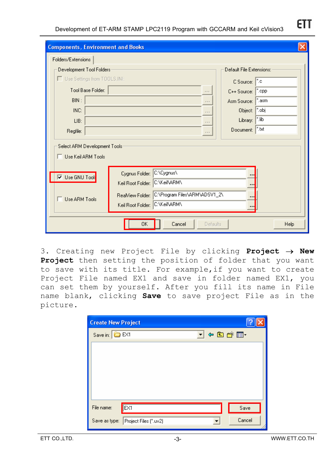| <b>Components, Environment and Books</b>                                                                                                                                                                   |                                 |                                                              |  |  |
|------------------------------------------------------------------------------------------------------------------------------------------------------------------------------------------------------------|---------------------------------|--------------------------------------------------------------|--|--|
| Folders/Extensions                                                                                                                                                                                         |                                 |                                                              |  |  |
| Development Tool Folders:<br>Default File Extensions:                                                                                                                                                      |                                 |                                                              |  |  |
| Use Settings from TOOLS.INI:                                                                                                                                                                               |                                 | C Source:   ".c                                              |  |  |
|                                                                                                                                                                                                            | Tool Base Folder:               | C++ Source: <sup>8</sup> .cpp<br>$\alpha \rightarrow \infty$ |  |  |
| BIN:                                                                                                                                                                                                       |                                 | Asm Source:   ".asm<br><b>COL</b>                            |  |  |
| INC:                                                                                                                                                                                                       |                                 | Object: <sup>*</sup> .obj                                    |  |  |
| LIB:                                                                                                                                                                                                       |                                 | Library:   ".lib<br>$x = x$                                  |  |  |
| Regfile:                                                                                                                                                                                                   | Document:   ".txt<br>$\sim 100$ |                                                              |  |  |
| Select ARM Development Tools:<br>□ Use Keil ARM Tools                                                                                                                                                      |                                 |                                                              |  |  |
| C:\Cygnus\<br>Cygnus Folder:<br><br>l <b>▽</b> Use GNU Tool <mark>:</mark><br>C:\Keil\ARM\<br>Keil Root Folder:<br><br>C:\Program Files\ARM\ADSV1_2\<br>ReaMiew Folder:<br>$\blacksquare$<br>Use ARM Tools |                                 |                                                              |  |  |
| C:\Keil\ARM\<br>Keil Root Folder:<br><br>Cancel<br>OK<br>Help<br>Defaults                                                                                                                                  |                                 |                                                              |  |  |

3. Creating new Project File by clicking **Project** → **New Project** then setting the position of folder that you want to save with its title. For example,if you want to create Project File named EX1 and save in folder named EX1, you can set them by yourself. After you fill its name in File name blank, clicking **Save** to save project File as in the picture.

| <b>Create New Project</b>           |       |        |
|-------------------------------------|-------|--------|
| Save in: <b>C</b> EX1               | ▼←自び囲 |        |
|                                     |       |        |
|                                     |       |        |
|                                     |       |        |
|                                     |       |        |
| EX <sub>1</sub><br>File name:       |       |        |
|                                     |       | Save   |
| Save as type: Project Files (".uv2) |       | Cancel |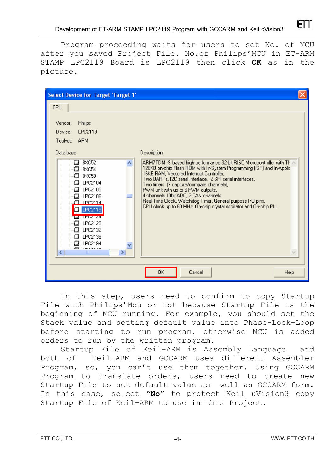Program proceeding waits for users to set No. of MCU after you saved Project File. No.of Philips'MCU in ET-ARM STAMP LPC2119 Board is LPC2119 then click **OK** as in the picture.

| CPU<br>Philips<br>Vendor:<br>LPC2119<br>Device:<br><b>ARM</b><br>Toolset:<br>Data base<br>Description:<br>8XC52<br>a<br> ARM7TDMI-S based high-performance 32-bit RISC Microcontroller with TF<br>128KB on-chip Flash ROM with In-System Programming (ISP) and In-Applic<br>8XC54<br>a<br>16KB RAM, Vectored Interrupt Controller,<br>a<br>8XC58<br>Two UARTs, I2C serial interface, 2 SPI serial interfaces,<br>LPC2104<br>a<br>Two timers (7 capture/compare channels),<br>LPC2105<br>a<br>PWM unit with up to 6 PWM outputs,<br>4-channels 10bit ADC, 2 CAN channels.<br>LPC2106<br>о<br>Real Time Clock, Watchdog Timer, General purpose I/O pins.<br>TPC2114<br>CPU clock up to 60 MHz, On-chip crystal oscillator and On-chip PLL<br><b>12 LPC2119</b><br>ta truziza<br>LPC2129<br>CJ.<br>LPC2132<br>IJ<br>LPC2138<br>a<br>LPC2194<br>C.<br><b>ATTUI</b><br><b>TILL</b> | <b>Select Device for Target 'Target 1'</b> |                |
|-------------------------------------------------------------------------------------------------------------------------------------------------------------------------------------------------------------------------------------------------------------------------------------------------------------------------------------------------------------------------------------------------------------------------------------------------------------------------------------------------------------------------------------------------------------------------------------------------------------------------------------------------------------------------------------------------------------------------------------------------------------------------------------------------------------------------------------------------------------------------------|--------------------------------------------|----------------|
|                                                                                                                                                                                                                                                                                                                                                                                                                                                                                                                                                                                                                                                                                                                                                                                                                                                                               |                                            |                |
|                                                                                                                                                                                                                                                                                                                                                                                                                                                                                                                                                                                                                                                                                                                                                                                                                                                                               | 0K                                         | Cancel<br>Help |

In this step, users need to confirm to copy Startup File with Philips'Mcu or not because Startup File is the beginning of MCU running. For example, you should set the Stack value and setting default value into Phase-Lock-Loop before starting to run program, otherwise MCU is added orders to run by the written program.

Startup File of Keil-ARM is Assembly Language and both of Keil-ARM and GCCARM uses different Assembler Program, so, you can't use them together. Using GCCARM Program to translate orders, users need to create new Startup File to set default value as well as GCCARM form. In this case, select **"No"** to protect Keil uVision3 copy Startup File of Keil-ARM to use in this Project.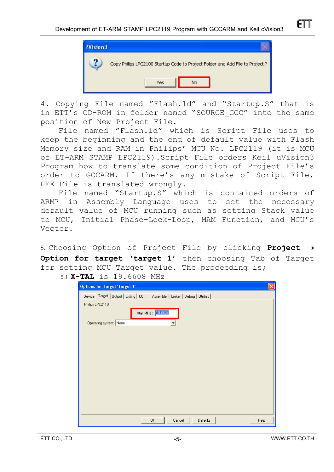

4. Copying File named "Flash.ld" and "Startup.S" that is in ETT's CD-ROM in folder named "SOURCE GCC" into the same position of New Project File.

File named "Flash.ld" which is Script File uses to keep the beginning and the end of default value with Flash Memory size and RAM in Philips' MCU No. LPC2119 (it is MCU of ET-ARM STAMP LPC2119).Script File orders Keil uVision3 Program how to translate some condition of Project File's order to GCCARM. If there's any mistake of Script File, HEX File is translated wrongly.

File named "Startup.S" which is contained orders of ARM7 in Assembly Language uses to set the necessary default value of MCU running such as setting Stack value to MCU, Initial Phase-Lock-Loop, MAM Function, and MCU's Vector.

5. Choosing Option of Project File by clicking **Project** → **Option for target 'target 1'** then choosing Tab of Target for setting MCU Target value. The proceeding is;

5.1 **X-TAL** is 19.6608 MHz

| $\boldsymbol{\times}$<br><b>Options for Target 'Target 1'</b>                  |
|--------------------------------------------------------------------------------|
| Device Target   Output   Listing   CC   Assembler   Linker   Debug   Utilities |
| Philips LPC2119                                                                |
| Xtal (MHz): 19.6608                                                            |
| Operating system: None                                                         |
|                                                                                |
|                                                                                |
|                                                                                |
|                                                                                |
|                                                                                |
|                                                                                |
|                                                                                |
|                                                                                |
|                                                                                |
|                                                                                |
| 0K<br>Cancel<br>Defaults<br>Help                                               |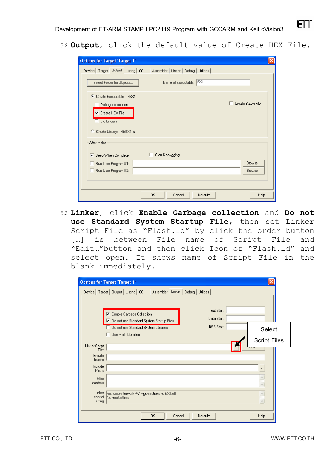5.2 **Output**, click the default value of Create HEX File.

| <b>Options for Target 'Target 1'</b>                                                                                                                    |  |  |  |  |
|---------------------------------------------------------------------------------------------------------------------------------------------------------|--|--|--|--|
| Device   Target Output   Listing   CC   Assembler   Linker   Debug   Utilities                                                                          |  |  |  |  |
| Name of Executable: EX1<br>Select Folder for Objects                                                                                                    |  |  |  |  |
| Create Executable: .NEX1<br>G.<br>$\Box$ Create Batch File<br>Debug Information<br>$\nabla$ Create HEX File<br>Big Endian<br>C Create Library: NibEX1.a |  |  |  |  |
| After Make                                                                                                                                              |  |  |  |  |
| Start Debugging<br>Beep When Complete<br>▽                                                                                                              |  |  |  |  |
| Browse<br>Run User Program #1:<br>Run User Program #2:<br>Browse                                                                                        |  |  |  |  |
|                                                                                                                                                         |  |  |  |  |
| <b>OK</b><br>Cancel<br>Defaults<br>Help                                                                                                                 |  |  |  |  |

5.3 **Linker**, click **Enable Garbage collection** and **Do not use Standard System Startup File**, then set Linker Script File as "Flash.ld" by click the order button [...] is between File name of Script File and "Edit…"button and then click Icon of "Flash.ld" and select open. It shows name of Script File in the blank immediately.

| <b>Options for Target 'Target 1'</b>                                                                                          |                                  |
|-------------------------------------------------------------------------------------------------------------------------------|----------------------------------|
| Assembler Linker Debug   Utilities<br>Device   Target   Output   Listing   CC                                                 |                                  |
| Text Start:<br>Enable Garbage Collection<br>⊽<br>Data Start:                                                                  |                                  |
| Ⅳ Do not use Standard System Startup Files<br><b>BSS Start:</b><br>Do not use Standard System Libraries<br>Use Math Libraries | Select                           |
| Linker Script                                                                                                                 | <b>Script Files</b>              |
| File:<br>Include<br><b>Libraries</b><br>Include<br>Paths                                                                      | cut                              |
| Misc<br>controls                                                                                                              |                                  |
| Linker<br>-mthumb-interwork -WI --go-sections -o EX1.elf<br>control<br>*.o -nostartfiles<br>string                            | $\wedge$<br>$\ddot{\phantom{0}}$ |
| <b>OK</b><br>Cancel<br><b>Defaults</b>                                                                                        | Help                             |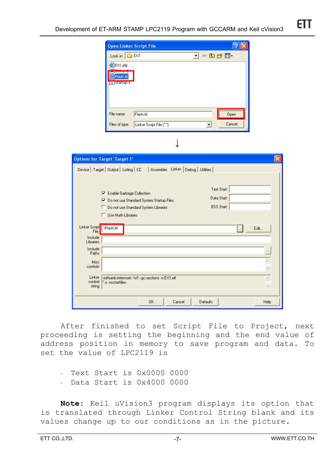|                              | <b>Open Linker Script File</b>                 |                                                                                | <u> ? x</u>       |               |
|------------------------------|------------------------------------------------|--------------------------------------------------------------------------------|-------------------|---------------|
|                              | Look in: <b>C</b> EX1                          |                                                                                | I + a d* EI       |               |
|                              | EX1.plg                                        |                                                                                |                   |               |
|                              |                                                |                                                                                |                   |               |
|                              | Flash.Id<br>s Startup.s                        |                                                                                |                   |               |
|                              |                                                |                                                                                |                   |               |
|                              |                                                |                                                                                |                   |               |
|                              |                                                |                                                                                |                   |               |
|                              | File name:<br>Flash.Id                         |                                                                                | Open              |               |
|                              | Linker Script File (*.*)<br>Files of type:     | $\blacktriangledown$                                                           | Cancel            |               |
|                              |                                                |                                                                                |                   |               |
|                              |                                                |                                                                                |                   |               |
|                              |                                                |                                                                                |                   |               |
| ptions for Target 'Target 1' |                                                |                                                                                |                   |               |
|                              |                                                | Device   Target   Output   Listing   CC   Assembler Linker   Debug   Utilities |                   |               |
|                              |                                                |                                                                                |                   |               |
|                              |                                                |                                                                                | Text Start:       |               |
|                              | 区 Enable Garbage Collection                    |                                                                                |                   |               |
|                              | Ⅳ Do not use Standard System Startup Files     |                                                                                | Data Start:       |               |
| п.                           | Do not use Standard System Libraries           |                                                                                | <b>BSS Start:</b> |               |
| п.                           | Use Math Libraries                             |                                                                                |                   |               |
| Linker Script   VFlash.Id    |                                                |                                                                                |                   | Edit          |
| File:<br>Include             |                                                |                                                                                |                   |               |
| Libraries                    |                                                |                                                                                |                   |               |
| Include<br>Paths             |                                                |                                                                                |                   |               |
| Misc                         |                                                |                                                                                |                   |               |
| controls                     |                                                |                                                                                |                   | $\leq$ $\geq$ |
| Linker<br>control            | -mthumb-interwork -WI --go-sections -o EX1.elf |                                                                                |                   | $\wedge$      |
| string                       | ".o -nostartfiles                              |                                                                                |                   | $\vee$        |
|                              |                                                |                                                                                |                   |               |
|                              | 0K                                             | Cancel<br>Defaults                                                             |                   | Help          |

After finished to set Script File to Project, next proceeding is setting the beginning and the end value of address position in memory to save program and data. To set the value of LPC2119 is

- Text Start is 0x0000 0000
- Data Start is 0x4000 0000

**Note**: Keil uVision3 program displays its option that is translated through Linker Control String blank and its values change up to our conditions as in the picture.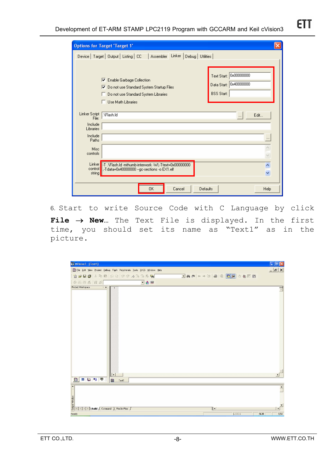| <b>Options for Target 'Target 1'</b>                                                                                                             |                                                                       |
|--------------------------------------------------------------------------------------------------------------------------------------------------|-----------------------------------------------------------------------|
| Linker<br>Device   Target   Output   Listing   CC<br>Assembler<br>Debug   Utilities                                                              |                                                                       |
| Enable Garbage Collection<br>⊽<br>Ⅳ Do not use Standard System Startup Files<br>Do not use Standard System Libraries<br>Use Math Libraries<br>п. | Text Start: 0x00000000<br>Data Start: 0x40000000<br><b>BSS Start:</b> |
| Linker Script<br>.\Flash.ld<br>File:<br>Include<br><b>Libraries</b>                                                                              | Edit<br>$\cdots$                                                      |
| Include<br>Paths                                                                                                                                 |                                                                       |
| Misc<br>controls                                                                                                                                 | $\frac{1}{2}$                                                         |
| Linker F.T. \Flash.ld -mthumb-interwork -WI,-Ttext=0x00000000<br>control<br>J.-Tdata=0x40000000 --gc-sections -o EX1.elf<br>string               | $\overline{\phantom{a}}$<br>v                                         |
| 0K<br>Cancel                                                                                                                                     | Defaults<br>Help                                                      |

6. Start to write Source Code with C Language by click **File** → **New…** The Text File is displayed. In the first time, you should set its name as "Text1" as in the picture.

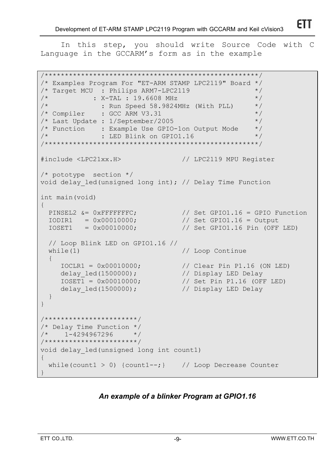In this step, you should write Source Code with C Language in the GCCARM's form as in the example

```
/*****************************************************/ 
/* Examples Program For "ET-ARM STAMP LPC2119" Board */ 
/* Target MCU : Philips ARM7-LPC2119 */ 
\frac{1}{2} : X-TAL : 19.6608 MHz \frac{1}{2} */
\frac{1}{x} : Run Speed 58.9824MHz (With PLL) \frac{x}{x}/* Compiler : GCC ARM V3.31 *//* Last Update : 1/September/2005 */
/* Function : Example Use GPIO-1on Output Mode */ 
\frac{1}{2} \star \cdot \cdot \cdot LED Blink on GPIO1.16 \cdot \cdot \cdot \cdot/*****************************************************/ 
#include <LPC21xx.H> // LPC2119 MPU Register 
/* pototype section */ 
void delay_led(unsigned long int); // Delay Time Function 
int main(void) 
{ 
PINSEL2 &= 0xFFFFFFFC; \frac{1}{16} Set GPIO1.16 = GPIO Function
IODIR1 = 0x00010000; // Set GPIO1.16 = Output
 IOSET1 = 0x00010000; // Set GPIO1.16 Pin (OFF LED) 
  // Loop Blink LED on GPIO1.16 // 
 while(1) \frac{1}{2} // Loop Continue
 \left\{ \right. IOCLR1 = 0x00010000; // Clear Pin P1.16 (ON LED) 
 delay_led(1500000); // Display LED Delay 
 IOSET1 = 0x00010000; // Set Pin P1.16 (OFF LED) 
    delay led(1500000); // Display LED Delay } 
} 
/***********************/ 
/* Delay Time Function */ 
/* 1-4294967296 */
/***********************/ 
void delay_led(unsigned long int count1) 
{ 
 while(count1 > 0) {count1 --; } // Loop Decrease Counter
}
```
# *An example of a blinker Program at GPIO1.16*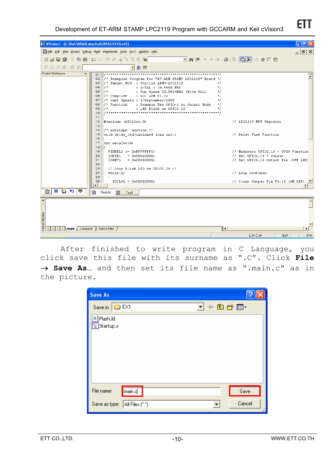**Development of ET-ARM STAMP LPC2119 Program with GCCARM and Keil cVision3**

| W/ mVision3 - [C: Weil\ARM\Eakachai\GNU\EX1\Text1]                                                                                                                                                                                                                                                                                                                                                                                                                                         | ∥⊕∥×                                                                                                     |
|--------------------------------------------------------------------------------------------------------------------------------------------------------------------------------------------------------------------------------------------------------------------------------------------------------------------------------------------------------------------------------------------------------------------------------------------------------------------------------------------|----------------------------------------------------------------------------------------------------------|
| File Edit View Project Debug Flash Peripherals Tools SVCS Window Help                                                                                                                                                                                                                                                                                                                                                                                                                      | $ E $ $\times$                                                                                           |
| 省房目副大陆信口工作主人为为私啊                                                                                                                                                                                                                                                                                                                                                                                                                                                                           |                                                                                                          |
| 参加商品 [# %]<br>「品無                                                                                                                                                                                                                                                                                                                                                                                                                                                                          |                                                                                                          |
| Project Workspace<br>$- x$                                                                                                                                                                                                                                                                                                                                                                                                                                                                 |                                                                                                          |
| /* Examples Program For "ET-ARM STAMP LPC2119" Board */<br>Q2<br>/* Target MCU : Philips ARM7-LPC2119<br>QЗ.<br>$\star$ /<br>$\star/$<br>Q4<br>$7*$<br>: X-TAL : 19.6608 MHz<br>$1 +$<br>05<br>: Run Speed 58.9824MHz (With PLL)<br>$\star$ /<br>06   /* Compiler : GCC ARM V3.31<br>$\star$ /<br>Q7<br>/* Last Update : 1/September/2005<br>$\star/$<br>08<br>$/*$ Function<br>: Example Use GPIO-1 on Output Mode<br>$\pi/$<br>Q9<br>$7 +$<br>$\star$ /<br>: LED Blink on GPIO1.16<br>10 |                                                                                                          |
| 11<br>#include <lpc21xx.h><br/>12 <br/>13<br/><math>14</math> /* pototype section */</lpc21xx.h>                                                                                                                                                                                                                                                                                                                                                                                           | // LPC2119 MPU Register                                                                                  |
| 15 void delay led (unsigned long int);<br>16<br>17 int main (void)<br>$18$ $-$ {                                                                                                                                                                                                                                                                                                                                                                                                           | // Delay Time Function                                                                                   |
| 19<br>PINSEL2 &= OXFFFFFFFC;<br>20<br>IODIR1<br>$= 0x00010000;$<br>21<br>IOSET1<br>$= 0x00010000;$<br>22                                                                                                                                                                                                                                                                                                                                                                                   | // Makesure GPIO1.16 = GPIO Function<br>// Set GPIO1.16 = Output<br>// Set GPIO1.16 Output Pin (OFF LED) |
| 23<br>// Loop Blink LED on GPIO1.16 //<br>24<br>while (1)<br>25<br>х.                                                                                                                                                                                                                                                                                                                                                                                                                      | // Loop Continue                                                                                         |
| 26<br>$IOCLR1 = 0x00010000;$                                                                                                                                                                                                                                                                                                                                                                                                                                                               | // Clear Output Pin P1.16 (ON LED)                                                                       |
| $\equiv$ 0 3 $\equiv$<br>目<br>目<br>Flash.Id<br>e e<br>Text1                                                                                                                                                                                                                                                                                                                                                                                                                                |                                                                                                          |
| $\vert x \vert$<br>Output Window                                                                                                                                                                                                                                                                                                                                                                                                                                                           |                                                                                                          |
| ╢┥<br>$\mathbb{F}$   $\mathbb{N}$   Build $\Lambda$ Command $\Lambda$ Find in Files /                                                                                                                                                                                                                                                                                                                                                                                                      | $\sqrt{N}$ M $\sqrt{N}$<br>1:34.0:38<br><b>DAM</b>                                                       |

After finished to write program in C Language, you click save this file with its surname as ".C". Click **File**  → Save As... and then set its file name as ".main.c" as in the picture.

| <b>Save As</b>                        |                                                           |
|---------------------------------------|-----------------------------------------------------------|
| Save in: EX1                          | $\underline{\mathbf{v}}$ + b of $\mathbf{E}$ $\mathbf{v}$ |
| <sup>∎</sup> ∫Flash.ld<br>s Startup.s |                                                           |
| main.d<br>File name:                  | Save                                                      |
| Save as type: All Files (".")         | Cancel                                                    |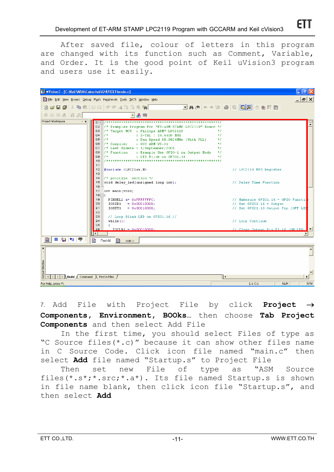After saved file, colour of letters in this program are changed with its function such as Comment, Variable, and Order. It is the good point of Keil uVision3 program and users use it easily.



7. Add File with Project File by click **Project** → **Components, Environment, BOOks…** then choose **Tab Project Components** and then select Add File

In the first time, you should select Files of type as "C Source files(\*.c)" because it can show other files name in C Source Code. Click icon file named "main.c" then select **Add** file named "Startup.s" to Project File

Then set new File of type as "ASM Source files(\*.s\*;\*.src;\*.a\*). Its file named Startup.s is shown in file name blank, then click icon file "Startup.s", and then select **Add**

FTI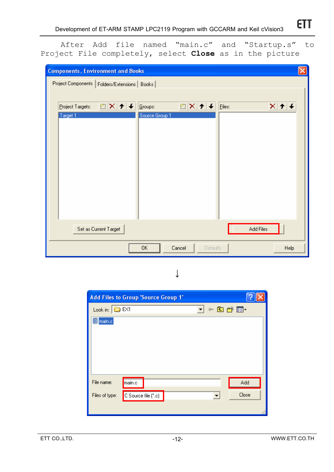After Add file named "main.c" and "Startup.s" to Project File completely, select **Close** as in the picture

| <b>Components, Environment and Books</b>        | ×                                                                |
|-------------------------------------------------|------------------------------------------------------------------|
| Project Components   Folders/Extensions   Books |                                                                  |
|                                                 |                                                                  |
| DX≯∔<br>Project Targets:                        | ≧   ×   ナ   チ<br>Groups:<br>Eiles:<br>$\boldsymbol{\times}$<br>T |
| Target 1                                        | Source Group 1                                                   |
|                                                 |                                                                  |
|                                                 |                                                                  |
|                                                 |                                                                  |
|                                                 |                                                                  |
|                                                 |                                                                  |
|                                                 |                                                                  |
|                                                 |                                                                  |
|                                                 |                                                                  |
| Set as Current Target                           | Add Files                                                        |
|                                                 |                                                                  |
|                                                 | 0K<br>Cancel<br>Help<br>Defaults                                 |

↓

| <b>Add Files to Group 'Source Group 1'</b> |       |
|--------------------------------------------|-------|
| d + a d* ⊞•<br>Look in: $\bigcirc$ EX1     |       |
| main.c                                     |       |
|                                            |       |
|                                            |       |
|                                            |       |
|                                            |       |
|                                            |       |
| File name:<br>main.c                       | Add   |
| C Source file (*.c)<br>Files of type:      | Close |
|                                            |       |
|                                            |       |

**ETT**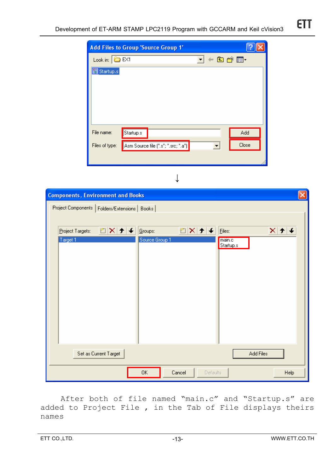|                                 | <b>Add Files to Group 'Source Group 1'</b> |       |       |
|---------------------------------|--------------------------------------------|-------|-------|
| Look in: $\boxed{\bigcirc}$ EX1 |                                            | ▼←自び囲 |       |
| Startup.s                       |                                            |       |       |
|                                 |                                            |       |       |
|                                 |                                            |       |       |
|                                 |                                            |       |       |
|                                 |                                            |       |       |
| File name:                      | Startup.s                                  |       | Add   |
| Files of type:                  | Asm Source file (".s"; ".src; ".a")        | ٠     | Close |
|                                 |                                            |       |       |

↓

| <b>Components, Environment and Books</b>        |                                     |                     |  |  |  |
|-------------------------------------------------|-------------------------------------|---------------------|--|--|--|
| Project Components   Folders/Extensions   Books |                                     |                     |  |  |  |
|                                                 |                                     |                     |  |  |  |
| 图×[チ]+ <br>Project Targets:                     | ≝   X   <del>1</del>   ↓<br>Groups: | ×⊧<br>Eiles:        |  |  |  |
| Target 1                                        | Source Group 1                      | main.c<br>Startup.s |  |  |  |
|                                                 |                                     |                     |  |  |  |
|                                                 |                                     |                     |  |  |  |
|                                                 |                                     |                     |  |  |  |
|                                                 |                                     |                     |  |  |  |
|                                                 |                                     |                     |  |  |  |
|                                                 |                                     |                     |  |  |  |
|                                                 |                                     |                     |  |  |  |
|                                                 |                                     |                     |  |  |  |
| Set as Current Target<br>Add Files              |                                     |                     |  |  |  |
| ОK<br>Cancel<br>Help<br>Defaults                |                                     |                     |  |  |  |

After both of file named "main.c" and "Startup.s" are added to Project File , in the Tab of File displays theirs names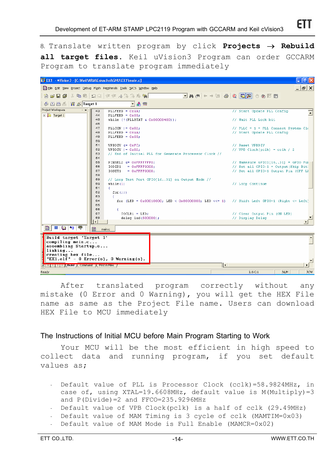| V EX1 - Wision3 - [C: Weil\ARM\Eakachai\GNU\EX1\main.c]<br>Iа |    |                                                                                                                                                                                                                                                                                                                                                                                                                                                                                                                                                                                      |                                       |  |  |
|---------------------------------------------------------------|----|--------------------------------------------------------------------------------------------------------------------------------------------------------------------------------------------------------------------------------------------------------------------------------------------------------------------------------------------------------------------------------------------------------------------------------------------------------------------------------------------------------------------------------------------------------------------------------------|---------------------------------------|--|--|
|                                                               |    | File Edit View Project Debug Flash Peripherals Tools SVCS Window Help                                                                                                                                                                                                                                                                                                                                                                                                                                                                                                                | $  \theta $ $\times$                  |  |  |
| 冶合日点                                                          |    | $\boxed{\blacksquare} \mathbb{A} \oplus \llbracket \blacksquare \rrbracket \otimes \llbracket \mathbb{A} \rrbracket \vdash \Leftrightarrow \llbracket \mathbb{A} \rrbracket \otimes \llbracket \mathbb{A} \rrbracket \otimes \llbracket \mathbb{A} \rrbracket \vdash \llbracket \mathbb{A} \rrbracket \vdash \llbracket \mathbb{A} \rrbracket \otimes \llbracket \mathbb{A} \rrbracket \vdash \llbracket \mathbb{A} \rrbracket \vdash \llbracket \mathbb{A} \rrbracket \vdash \llbracket \mathbb{A} \rrbracket \vdash \llbracket \mathbb{A} \rrbracket$<br>太 嘔 嘔   Ω Ω   年年 ル% % % 嗨 |                                       |  |  |
| <b>罩 态 Target 1</b><br>圖圖画                                    |    | ▼ 晶 需                                                                                                                                                                                                                                                                                                                                                                                                                                                                                                                                                                                |                                       |  |  |
| Project Workspace<br>$\mathbf{x}$                             | 43 | $PLLFED = OXAA$                                                                                                                                                                                                                                                                                                                                                                                                                                                                                                                                                                      | // Start Update PLL Config            |  |  |
| Target 1                                                      | 44 | PLLFEED = $0x55$ ;                                                                                                                                                                                                                                                                                                                                                                                                                                                                                                                                                                   |                                       |  |  |
|                                                               | 45 | while $(!({{PLLSTAT}} & 0x00000400));$                                                                                                                                                                                                                                                                                                                                                                                                                                                                                                                                               | // Wait PLL Lock bit                  |  |  |
|                                                               | 46 |                                                                                                                                                                                                                                                                                                                                                                                                                                                                                                                                                                                      |                                       |  |  |
|                                                               | 47 | PLLCON $ = 0x02;$                                                                                                                                                                                                                                                                                                                                                                                                                                                                                                                                                                    | // PLLC = 1 = PLL Connect System Clo  |  |  |
|                                                               | 48 | $PLLFED = OXAA$                                                                                                                                                                                                                                                                                                                                                                                                                                                                                                                                                                      | // Start Update PLL Config            |  |  |
|                                                               | 49 | $PLLFED = 0x55$ ;                                                                                                                                                                                                                                                                                                                                                                                                                                                                                                                                                                    |                                       |  |  |
|                                                               | 50 |                                                                                                                                                                                                                                                                                                                                                                                                                                                                                                                                                                                      |                                       |  |  |
|                                                               | 51 | <b>VPBDIV <math>\epsilon</math>= OxFC;</b>                                                                                                                                                                                                                                                                                                                                                                                                                                                                                                                                           | // Reset VPBDIV                       |  |  |
|                                                               | 52 | $VPBDIV$  = $0x02;$                                                                                                                                                                                                                                                                                                                                                                                                                                                                                                                                                                  | // VPB $Clock(pclk) = cclk / 2$       |  |  |
|                                                               | 53 | // End of Initial PLL for Generate Processor Clock //                                                                                                                                                                                                                                                                                                                                                                                                                                                                                                                                |                                       |  |  |
|                                                               | 54 |                                                                                                                                                                                                                                                                                                                                                                                                                                                                                                                                                                                      |                                       |  |  |
|                                                               | 55 | PINSEL2 &= OXFFFFFFF0;                                                                                                                                                                                                                                                                                                                                                                                                                                                                                                                                                               | // Makesure $GPIO1[1631] = GPIO Fu$   |  |  |
|                                                               | 56 | IODIR1<br>$=$ OXFFFF0000;                                                                                                                                                                                                                                                                                                                                                                                                                                                                                                                                                            | // Set all GPIO-1 = Output (Skip Bit) |  |  |
|                                                               | 57 | IOSET1<br>$=$ OXFFFF0000;                                                                                                                                                                                                                                                                                                                                                                                                                                                                                                                                                            | // Set all GPIO-1 Output Pin (OFF LI  |  |  |
|                                                               | 58 |                                                                                                                                                                                                                                                                                                                                                                                                                                                                                                                                                                                      |                                       |  |  |
|                                                               | 59 | // Loop Test Port GPIO[1631] on Output Mode //                                                                                                                                                                                                                                                                                                                                                                                                                                                                                                                                       |                                       |  |  |
|                                                               | 60 | while (1)                                                                                                                                                                                                                                                                                                                                                                                                                                                                                                                                                                            | // Loop Continue                      |  |  |
|                                                               | 61 | €.                                                                                                                                                                                                                                                                                                                                                                                                                                                                                                                                                                                   |                                       |  |  |
|                                                               | 62 | for $(::")$                                                                                                                                                                                                                                                                                                                                                                                                                                                                                                                                                                          |                                       |  |  |
|                                                               | 63 | х.                                                                                                                                                                                                                                                                                                                                                                                                                                                                                                                                                                                   |                                       |  |  |
|                                                               | 64 | for (LED = 0x00010000; LED < 0x80000000; LED <<= 1) // Shift Left GPIO-1 (Right <- Left)                                                                                                                                                                                                                                                                                                                                                                                                                                                                                             |                                       |  |  |
|                                                               | 65 |                                                                                                                                                                                                                                                                                                                                                                                                                                                                                                                                                                                      |                                       |  |  |
|                                                               | 66 | ¥.                                                                                                                                                                                                                                                                                                                                                                                                                                                                                                                                                                                   |                                       |  |  |
|                                                               | 67 | $IOCLR1 = LED:$                                                                                                                                                                                                                                                                                                                                                                                                                                                                                                                                                                      | // Clear Output Pin (ON LED)          |  |  |
|                                                               | 68 | delay led (500000);                                                                                                                                                                                                                                                                                                                                                                                                                                                                                                                                                                  | // Display Delay                      |  |  |
|                                                               | l۰ |                                                                                                                                                                                                                                                                                                                                                                                                                                                                                                                                                                                      |                                       |  |  |
| $\equiv$ 0 3 $\equiv$<br>B.                                   | B  | main.c                                                                                                                                                                                                                                                                                                                                                                                                                                                                                                                                                                               |                                       |  |  |
|                                                               |    |                                                                                                                                                                                                                                                                                                                                                                                                                                                                                                                                                                                      |                                       |  |  |
| Build target 'Target 1'                                       |    |                                                                                                                                                                                                                                                                                                                                                                                                                                                                                                                                                                                      |                                       |  |  |
| compiling main.c                                              |    |                                                                                                                                                                                                                                                                                                                                                                                                                                                                                                                                                                                      |                                       |  |  |
| assembling Startup.s                                          |    |                                                                                                                                                                                                                                                                                                                                                                                                                                                                                                                                                                                      |                                       |  |  |
| linking                                                       |    |                                                                                                                                                                                                                                                                                                                                                                                                                                                                                                                                                                                      |                                       |  |  |
| creating hex file                                             |    |                                                                                                                                                                                                                                                                                                                                                                                                                                                                                                                                                                                      |                                       |  |  |
| "EX1.elf" - $0$ Error(s), $0$ Warning(s).                     |    |                                                                                                                                                                                                                                                                                                                                                                                                                                                                                                                                                                                      |                                       |  |  |
| ∐∢<br><b>SHREET PHANNICA Command A Find in Files /</b>        |    |                                                                                                                                                                                                                                                                                                                                                                                                                                                                                                                                                                                      |                                       |  |  |
|                                                               |    |                                                                                                                                                                                                                                                                                                                                                                                                                                                                                                                                                                                      |                                       |  |  |
| Ready                                                         |    |                                                                                                                                                                                                                                                                                                                                                                                                                                                                                                                                                                                      | L:6C:1<br>R/W<br>NUM                  |  |  |

After translated program correctly without any mistake (0 Error and 0 Warning), you will get the HEX File name as same as the Project File name. Users can download HEX File to MCU immediately

### **The Instructions of Initial MCU before Main Program Starting to Work**

Your MCU will be the most efficient in high speed to collect data and running program, if you set default values as;

- Default value of PLL is Processor Clock (cclk)=58.9824MHz, in case of, using XTAL=19.6608MHz, default value is M(Multiply)=3 and P(Divide)=2 and FFCO=235.9296MHz
- Default value of VPB Clock(pclk) is a half of cclk (29.49MHz)
- Default value of MAM Timing is 3 cycle of cclk (MAMTIM=0x03)
- Default value of MAM Mode is Full Enable (MAMCR=0x02)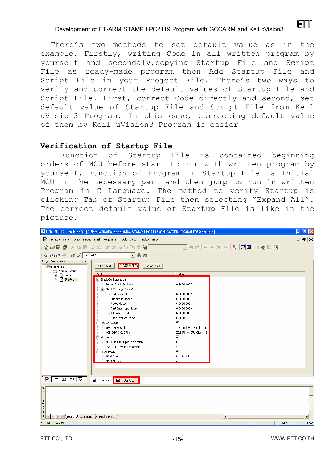There's two methods to set default value as in the example. Firstly, writing Code in all written program by yourself and secondaly,copying Startup File and Script File as ready-made program then Add Startup File and Script File in your Project File. There's two ways to verify and correct the default values of Startup File and Script File. First, correct Code directly and second, set default value of Startup File and Script File from Keil uVision3 Program. In this case, correcting default value of them by Keil uVision3 Program is easier

#### **Verification of Startup File**

Function of Startup File is contained beginning orders of MCU before start to run with written program by yourself. Function of Program in Startup File is Initial MCU in the necessary part and then jump to run in written Program in C Language. The method to verify Startup is clicking Tab of Startup File then selecting "Expand All". The correct default value of Startup File is like in the picture.

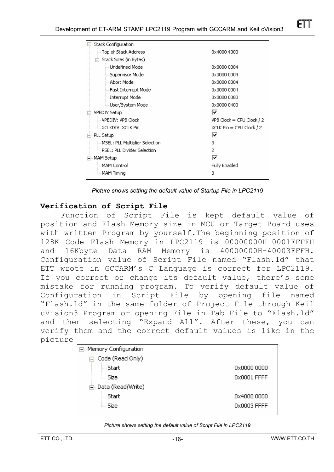| $\boxdot$ Stack Configuration     |                              |
|-----------------------------------|------------------------------|
| — Top of Stack Address            | 0x4000 4000                  |
| 白- Stack Sizes (in Bytes).        |                              |
| illim Undefined Model             | 0x0000 0004                  |
| - Supervisor Mode                 | 0x0000 0004                  |
| i Abort Model                     | 0x0000 0004                  |
| illi-Fast Interrupt Model         | 0x0000 0004                  |
| i -- Interrupt Mode               | 0x0000 0080                  |
| illi User/System Model            | 0x0000 0400                  |
| <b>VPBDIV Setup</b>               | ◸                            |
| ill VPBDIV: VPB Clock             | $VPB$ Clock = CPU Clock $/2$ |
| i XCLKDIV: XCLK Pin               | $XCLK P$ in = CPU Clock / 2  |
| PLL Setup                         | ⊽                            |
| … MSEL: PLL Multiplier Selection. | з                            |
| i PSEL: PLL Divider Selection.    | 2                            |
| MAM Setup                         | ⊽                            |
| — MAM Controll                    | <b>Fully Enabled</b>         |
| illim MAM Timina                  | з                            |
|                                   |                              |

*Picture shows setting the default value of Startup File in LPC2119*

### **Verification of Script File**

Function of Script File is kept default value of position and Flash Memory size in MCU or Target Board uses with written Program by yourself.The beginning position of 128K Code Flash Memory in LPC2119 is 00000000H-0001FFFFH and 16Kbyte Data RAM Memory is 40000000H-40003FFFH. Configuration value of Script File named "Flash.ld" that ETT wrote in GCCARM's C Language is correct for LPC2119. If you correct or change its default value, there's some mistake for running program. To verify default value of Configuration in Script File by opening file named "Flash.ld" in the same folder of Project File through Keil uVision3 Program or opening File in Tab File to "Flash.ld" and then selecting "Expand All". After these, you can verify them and the correct default values is like in the picture

| □ Memory Configuration           |             |  |  |
|----------------------------------|-------------|--|--|
| 白 <sub>"</sub> Code (Read Only). |             |  |  |
| illi Start.                      | 0x0000 0000 |  |  |
| ‱ Sizel                          | 0x0001 FFFF |  |  |
| 白-Data (Read/Write)              |             |  |  |
| illi Start.                      | 0x4000 0000 |  |  |
| l… Sizel                         | 0x0003 FFFF |  |  |
|                                  |             |  |  |

#### *Picture shows setting the default value of Script File in LPC2119*